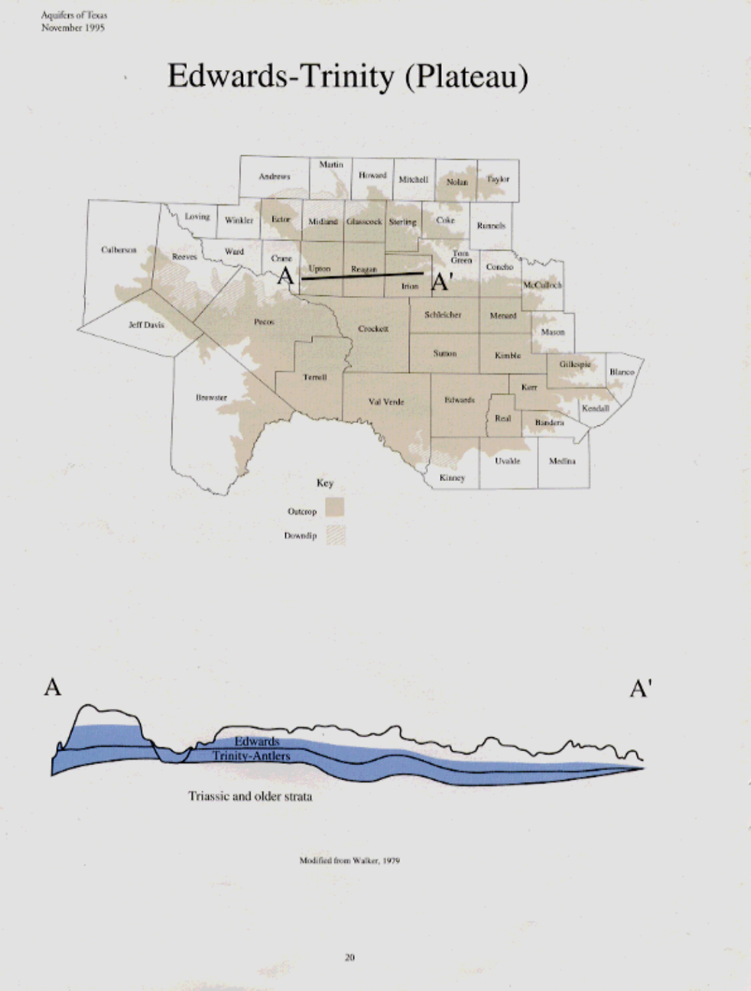Aquifers of Texas November 1995

Edwards-Trinity (Plateau)